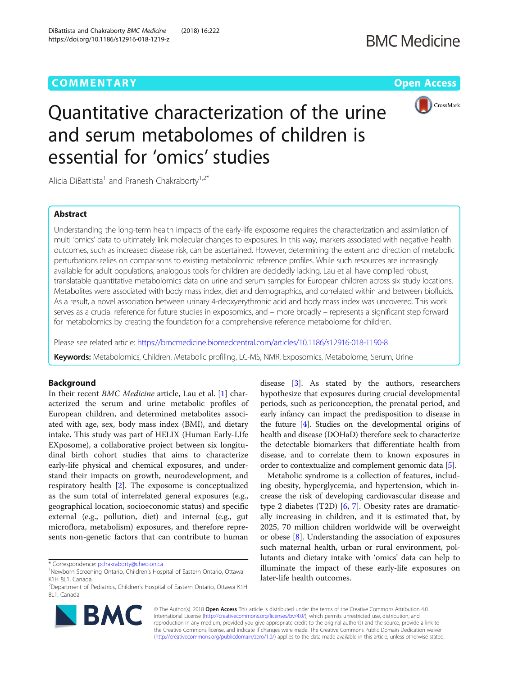# **COMMENTARY COMMENTARY COMMENTARY**



# Quantitative characterization of the urine and serum metabolomes of children is essential for 'omics' studies

Alicia DiBattista<sup>1</sup> and Pranesh Chakraborty<sup>1,2\*</sup>

# Abstract

Understanding the long-term health impacts of the early-life exposome requires the characterization and assimilation of multi 'omics' data to ultimately link molecular changes to exposures. In this way, markers associated with negative health outcomes, such as increased disease risk, can be ascertained. However, determining the extent and direction of metabolic perturbations relies on comparisons to existing metabolomic reference profiles. While such resources are increasingly available for adult populations, analogous tools for children are decidedly lacking. Lau et al. have compiled robust, translatable quantitative metabolomics data on urine and serum samples for European children across six study locations. Metabolites were associated with body mass index, diet and demographics, and correlated within and between biofluids. As a result, a novel association between urinary 4-deoxyerythronic acid and body mass index was uncovered. This work serves as a crucial reference for future studies in exposomics, and – more broadly – represents a significant step forward for metabolomics by creating the foundation for a comprehensive reference metabolome for children.

Please see related article: <https://bmcmedicine.biomedcentral.com/articles/10.1186/s12916-018-1190-8>

Keywords: Metabolomics, Children, Metabolic profiling, LC-MS, NMR, Exposomics, Metabolome, Serum, Urine

# Background

In their recent BMC Medicine article, Lau et al. [\[1](#page-1-0)] characterized the serum and urine metabolic profiles of European children, and determined metabolites associated with age, sex, body mass index (BMI), and dietary intake. This study was part of HELIX (Human Early-LIfe EXposome), a collaborative project between six longitudinal birth cohort studies that aims to characterize early-life physical and chemical exposures, and understand their impacts on growth, neurodevelopment, and respiratory health [\[2\]](#page-1-0). The exposome is conceptualized as the sum total of interrelated general exposures (e.g., geographical location, socioeconomic status) and specific external (e.g., pollution, diet) and internal (e.g., gut microflora, metabolism) exposures, and therefore represents non-genetic factors that can contribute to human



Metabolic syndrome is a collection of features, including obesity, hyperglycemia, and hypertension, which increase the risk of developing cardiovascular disease and type 2 diabetes (T2D) [[6,](#page-2-0) [7](#page-2-0)]. Obesity rates are dramatically increasing in children, and it is estimated that, by 2025, 70 million children worldwide will be overweight or obese [[8\]](#page-2-0). Understanding the association of exposures such maternal health, urban or rural environment, pollutants and dietary intake with 'omics' data can help to illuminate the impact of these early-life exposures on later-life health outcomes.



© The Author(s). 2018 Open Access This article is distributed under the terms of the Creative Commons Attribution 4.0 International License [\(http://creativecommons.org/licenses/by/4.0/](http://creativecommons.org/licenses/by/4.0/)), which permits unrestricted use, distribution, and reproduction in any medium, provided you give appropriate credit to the original author(s) and the source, provide a link to the Creative Commons license, and indicate if changes were made. The Creative Commons Public Domain Dedication waiver [\(http://creativecommons.org/publicdomain/zero/1.0/](http://creativecommons.org/publicdomain/zero/1.0/)) applies to the data made available in this article, unless otherwise stated.

<sup>\*</sup> Correspondence: [pchakraborty@cheo.on.ca](mailto:pchakraborty@cheo.on.ca) <sup>1</sup>

<sup>&</sup>lt;sup>1</sup>Newborn Screening Ontario, Children's Hospital of Eastern Ontario, Ottawa K1H 8L1, Canada

<sup>&</sup>lt;sup>2</sup>Department of Pediatrics, Children's Hospital of Eastern Ontario, Ottawa K1H 8L1, Canada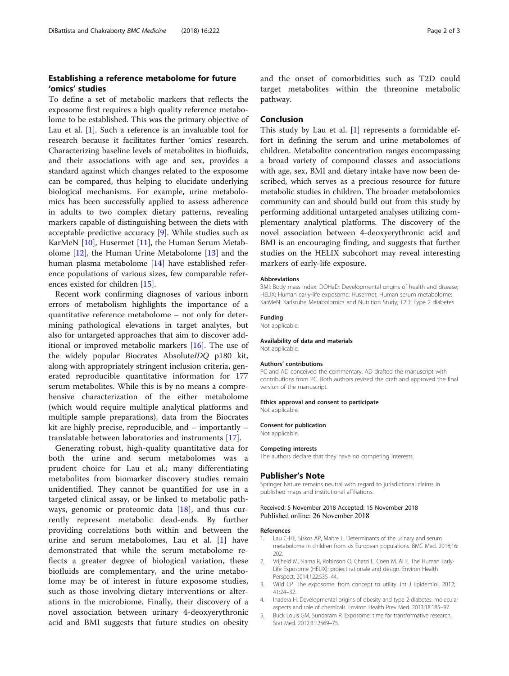# <span id="page-1-0"></span>Establishing a reference metabolome for future 'omics' studies

To define a set of metabolic markers that reflects the exposome first requires a high quality reference metabolome to be established. This was the primary objective of Lau et al. [1]. Such a reference is an invaluable tool for research because it facilitates further 'omics' research. Characterizing baseline levels of metabolites in biofluids, and their associations with age and sex, provides a standard against which changes related to the exposome can be compared, thus helping to elucidate underlying biological mechanisms. For example, urine metabolomics has been successfully applied to assess adherence in adults to two complex dietary patterns, revealing markers capable of distinguishing between the diets with acceptable predictive accuracy [\[9](#page-2-0)]. While studies such as KarMeN [\[10](#page-2-0)], Husermet [\[11](#page-2-0)], the Human Serum Metabolome [[12](#page-2-0)], the Human Urine Metabolome [[13\]](#page-2-0) and the human plasma metabolome [[14\]](#page-2-0) have established reference populations of various sizes, few comparable references existed for children [[15](#page-2-0)].

Recent work confirming diagnoses of various inborn errors of metabolism highlights the importance of a quantitative reference metabolome – not only for determining pathological elevations in target analytes, but also for untargeted approaches that aim to discover additional or improved metabolic markers [[16\]](#page-2-0). The use of the widely popular Biocrates AbsoluteIDQ p180 kit, along with appropriately stringent inclusion criteria, generated reproducible quantitative information for 177 serum metabolites. While this is by no means a comprehensive characterization of the either metabolome (which would require multiple analytical platforms and multiple sample preparations), data from the Biocrates kit are highly precise, reproducible, and – importantly – translatable between laboratories and instruments [\[17](#page-2-0)].

Generating robust, high-quality quantitative data for both the urine and serum metabolomes was a prudent choice for Lau et al.; many differentiating metabolites from biomarker discovery studies remain unidentified. They cannot be quantified for use in a targeted clinical assay, or be linked to metabolic pathways, genomic or proteomic data  $[18]$  $[18]$  $[18]$ , and thus currently represent metabolic dead-ends. By further providing correlations both within and between the urine and serum metabolomes, Lau et al. [1] have demonstrated that while the serum metabolome reflects a greater degree of biological variation, these biofluids are complementary, and the urine metabolome may be of interest in future exposome studies, such as those involving dietary interventions or alterations in the microbiome. Finally, their discovery of a novel association between urinary 4-deoxyerythronic acid and BMI suggests that future studies on obesity

and the onset of comorbidities such as T2D could target metabolites within the threonine metabolic pathway.

# Conclusion

This study by Lau et al.  $[1]$  represents a formidable effort in defining the serum and urine metabolomes of children. Metabolite concentration ranges encompassing a broad variety of compound classes and associations with age, sex, BMI and dietary intake have now been described, which serves as a precious resource for future metabolic studies in children. The broader metabolomics community can and should build out from this study by performing additional untargeted analyses utilizing complementary analytical platforms. The discovery of the novel association between 4-deoxyerythronic acid and BMI is an encouraging finding, and suggests that further studies on the HELIX subcohort may reveal interesting markers of early-life exposure.

#### Abbreviations

BMI: Body mass index; DOHaD: Developmental origins of health and disease; HELIX: Human early-life exposome; Husermet: Human serum metabolome; KarMeN: Karlsruhe Metabolomics and Nutrition Study; T2D: Type 2 diabetes

# Funding

Not applicable.

# Availability of data and materials

Not applicable.

#### Authors' contributions

PC and AD conceived the commentary. AD drafted the manuscript with contributions from PC. Both authors revised the draft and approved the final version of the manuscript.

#### Ethics approval and consent to participate

Not applicable.

### Consent for publication Not applicable.

## Competing interests

The authors declare that they have no competing interests.

# Publisher's Note

Springer Nature remains neutral with regard to jurisdictional claims in published maps and institutional affiliations.

#### Received: 5 November 2018 Accepted: 15 November 2018 Published online: 26 November 2018

#### References

- 1. Lau C-HE, Siskos AP, Maitre L. Determinants of the urinary and serum metabolome in children from six European populations. BMC Med. 2018;16: 202.
- 2. Vrijheid M, Slama R, Robinson O, Chatzi L, Coen M, Al E. The Human Early-Life Exposome (HELIX): project rationale and design. Environ Health Perspect. 2014;122:535–44.
- 3. Wild CP. The exposome: from concept to utility. Int J Epidemiol. 2012; 41:24–32.
- 4. Inadera H. Developmental origins of obesity and type 2 diabetes: molecular aspects and role of chemicals. Environ Health Prev Med. 2013;18:185–97.
- 5. Buck Louis GM, Sundaram R. Exposome: time for transformative research. Stat Med. 2012;31:2569–75.